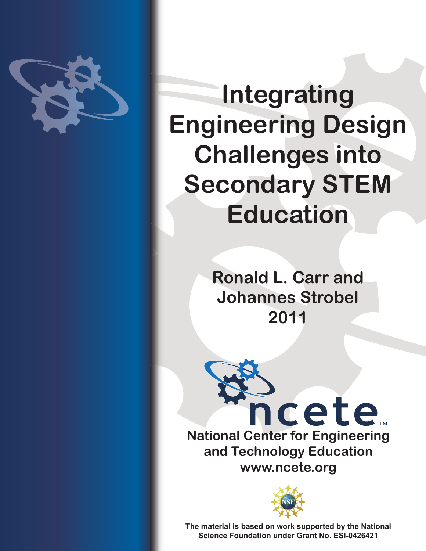

# **Integrating Engineering Design Challenges into Secondary STEM Education**

**Ronald L. Carr and Johannes Strobel 2011**





**The material is based on work supported by the National Science Foundation under Grant No. ESI-0426421**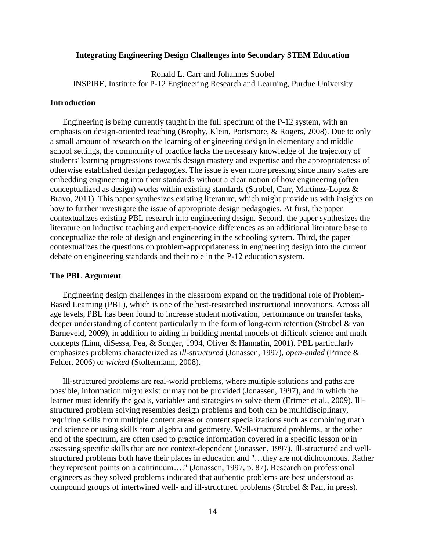## **Integrating Engineering Design Challenges into Secondary STEM Education**

Ronald L. Carr and Johannes Strobel INSPIRE, Institute for P-12 Engineering Research and Learning, Purdue University

## **Introduction**

Engineering is being currently taught in the full spectrum of the P-12 system, with an emphasis on design-oriented teaching (Brophy, Klein, Portsmore, & Rogers, 2008). Due to only a small amount of research on the learning of engineering design in elementary and middle school settings, the community of practice lacks the necessary knowledge of the trajectory of students' learning progressions towards design mastery and expertise and the appropriateness of otherwise established design pedagogies. The issue is even more pressing since many states are embedding engineering into their standards without a clear notion of how engineering (often conceptualized as design) works within existing standards (Strobel, Carr, Martinez-Lopez & Bravo, 2011). This paper synthesizes existing literature, which might provide us with insights on how to further investigate the issue of appropriate design pedagogies. At first, the paper contextualizes existing PBL research into engineering design. Second, the paper synthesizes the literature on inductive teaching and expert-novice differences as an additional literature base to conceptualize the role of design and engineering in the schooling system. Third, the paper contextualizes the questions on problem-appropriateness in engineering design into the current debate on engineering standards and their role in the P-12 education system.

## **The PBL Argument**

Engineering design challenges in the classroom expand on the traditional role of Problem-Based Learning (PBL), which is one of the best-researched instructional innovations. Across all age levels, PBL has been found to increase student motivation, performance on transfer tasks, deeper understanding of content particularly in the form of long-term retention (Strobel & van Barneveld, 2009), in addition to aiding in building mental models of difficult science and math concepts (Linn, diSessa, Pea, & Songer, 1994, Oliver & Hannafin, 2001). PBL particularly emphasizes problems characterized as *ill-structured* (Jonassen, 1997), *open-ended* (Prince & Felder, 2006) or *wicked* (Stoltermann, 2008).

Ill-structured problems are real-world problems, where multiple solutions and paths are possible, information might exist or may not be provided (Jonassen, 1997), and in which the learner must identify the goals, variables and strategies to solve them (Ertmer et al., 2009). Illstructured problem solving resembles design problems and both can be multidisciplinary, requiring skills from multiple content areas or content specializations such as combining math and science or using skills from algebra and geometry. Well-structured problems, at the other end of the spectrum, are often used to practice information covered in a specific lesson or in assessing specific skills that are not context-dependent (Jonassen, 1997). Ill-structured and wellstructured problems both have their places in education and "…they are not dichotomous. Rather they represent points on a continuum…." (Jonassen, 1997, p. 87). Research on professional engineers as they solved problems indicated that authentic problems are best understood as compound groups of intertwined well- and ill-structured problems (Strobel & Pan, in press).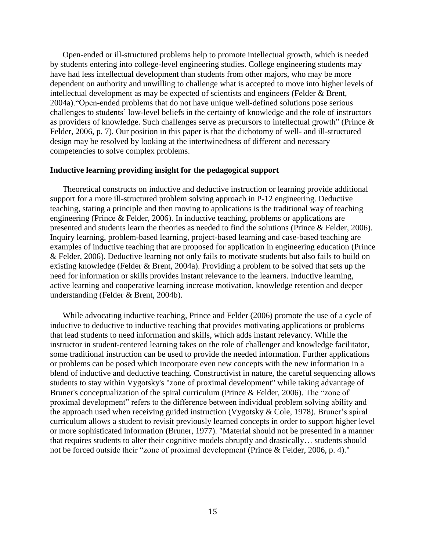Open-ended or ill-structured problems help to promote intellectual growth, which is needed by students entering into college-level engineering studies. College engineering students may have had less intellectual development than students from other majors, who may be more dependent on authority and unwilling to challenge what is accepted to move into higher levels of intellectual development as may be expected of scientists and engineers (Felder & Brent, 2004a). "Open-ended problems that do not have unique well-defined solutions pose serious challenges to students' low-level beliefs in the certainty of knowledge and the role of instructors as providers of knowledge. Such challenges serve as precursors to intellectual growth" (Prince  $\&$ Felder, 2006, p. 7). Our position in this paper is that the dichotomy of well- and ill-structured design may be resolved by looking at the intertwinedness of different and necessary competencies to solve complex problems.

### **Inductive learning providing insight for the pedagogical support**

Theoretical constructs on inductive and deductive instruction or learning provide additional support for a more ill-structured problem solving approach in P-12 engineering. Deductive teaching, stating a principle and then moving to applications is the traditional way of teaching engineering (Prince & Felder, 2006). In inductive teaching, problems or applications are presented and students learn the theories as needed to find the solutions (Prince & Felder, 2006). Inquiry learning, problem-based learning, project-based learning and case-based teaching are examples of inductive teaching that are proposed for application in engineering education (Prince & Felder, 2006). Deductive learning not only fails to motivate students but also fails to build on existing knowledge (Felder & Brent, 2004a). Providing a problem to be solved that sets up the need for information or skills provides instant relevance to the learners. Inductive learning, active learning and cooperative learning increase motivation, knowledge retention and deeper understanding (Felder & Brent, 2004b).

While advocating inductive teaching, Prince and Felder (2006) promote the use of a cycle of inductive to deductive to inductive teaching that provides motivating applications or problems that lead students to need information and skills, which adds instant relevancy. While the instructor in student-centered learning takes on the role of challenger and knowledge facilitator, some traditional instruction can be used to provide the needed information. Further applications or problems can be posed which incorporate even new concepts with the new information in a blend of inductive and deductive teaching. Constructivist in nature, the careful sequencing allows students to stay within Vygotsky's "zone of proximal development" while taking advantage of Bruner's conceptualization of the spiral curriculum (Prince  $\&$  Felder, 2006). The "zone of proximal development" refers to the difference between individual problem solving ability and the approach used when receiving guided instruction (Vygotsky & Cole, 1978). Bruner's spiral curriculum allows a student to revisit previously learned concepts in order to support higher level or more sophisticated information (Bruner, 1977). "Material should not be presented in a manner that requires students to alter their cognitive models abruptly and drastically… students should not be forced outside their "zone of proximal development (Prince & Felder, 2006, p. 4)."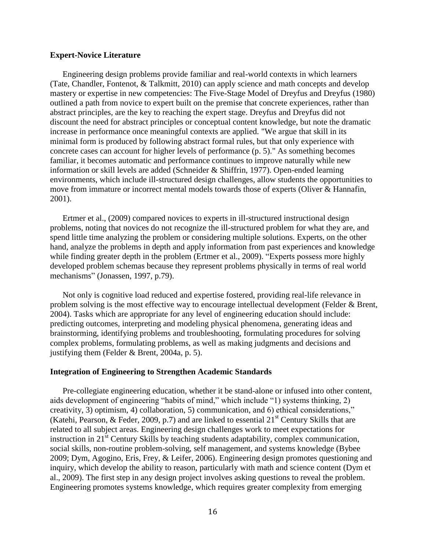## **Expert-Novice Literature**

Engineering design problems provide familiar and real-world contexts in which learners (Tate, Chandler, Fontenot, & Talkmitt, 2010) can apply science and math concepts and develop mastery or expertise in new competencies: The Five-Stage Model of Dreyfus and Dreyfus (1980) outlined a path from novice to expert built on the premise that concrete experiences, rather than abstract principles, are the key to reaching the expert stage. Dreyfus and Dreyfus did not discount the need for abstract principles or conceptual content knowledge, but note the dramatic increase in performance once meaningful contexts are applied. "We argue that skill in its minimal form is produced by following abstract formal rules, but that only experience with concrete cases can account for higher levels of performance (p. 5)." As something becomes familiar, it becomes automatic and performance continues to improve naturally while new information or skill levels are added (Schneider & Shiffrin, 1977). Open-ended learning environments, which include ill-structured design challenges, allow students the opportunities to move from immature or incorrect mental models towards those of experts (Oliver & Hannafin, 2001).

Ertmer et al., (2009) compared novices to experts in ill-structured instructional design problems, noting that novices do not recognize the ill-structured problem for what they are, and spend little time analyzing the problem or considering multiple solutions. Experts, on the other hand, analyze the problems in depth and apply information from past experiences and knowledge while finding greater depth in the problem (Ertmer et al., 2009). "Experts possess more highly developed problem schemas because they represent problems physically in terms of real world mechanisms" (Jonassen, 1997, p.79).

Not only is cognitive load reduced and expertise fostered, providing real-life relevance in problem solving is the most effective way to encourage intellectual development (Felder & Brent, 2004). Tasks which are appropriate for any level of engineering education should include: predicting outcomes, interpreting and modeling physical phenomena, generating ideas and brainstorming, identifying problems and troubleshooting, formulating procedures for solving complex problems, formulating problems, as well as making judgments and decisions and justifying them (Felder & Brent, 2004a, p. 5).

#### **Integration of Engineering to Strengthen Academic Standards**

Pre-collegiate engineering education, whether it be stand-alone or infused into other content, aids development of engineering "habits of mind," which include "1) systems thinking, 2) creativity, 3) optimism, 4) collaboration, 5) communication, and 6) ethical considerations," (Katehi, Pearson, & Feder, 2009, p.7) and are linked to essential  $21<sup>st</sup>$  Century Skills that are related to all subject areas. Engineering design challenges work to meet expectations for instruction in  $21<sup>st</sup>$  Century Skills by teaching students adaptability, complex communication, social skills, non-routine problem-solving, self management, and systems knowledge (Bybee 2009; Dym, Agogino, Eris, Frey, & Leifer, 2006). Engineering design promotes questioning and inquiry, which develop the ability to reason, particularly with math and science content (Dym et al., 2009). The first step in any design project involves asking questions to reveal the problem. Engineering promotes systems knowledge, which requires greater complexity from emerging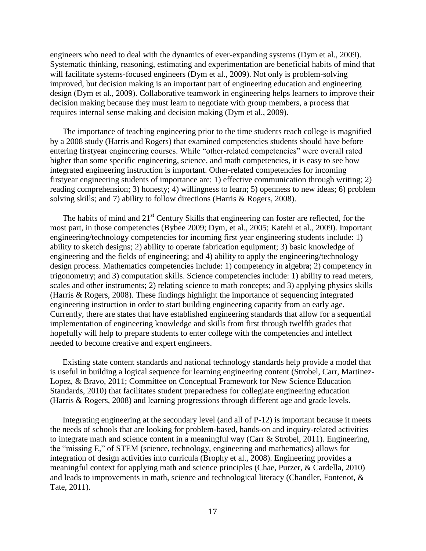engineers who need to deal with the dynamics of ever-expanding systems (Dym et al., 2009). Systematic thinking, reasoning, estimating and experimentation are beneficial habits of mind that will facilitate systems-focused engineers (Dym et al., 2009). Not only is problem-solving improved, but decision making is an important part of engineering education and engineering design (Dym et al., 2009). Collaborative teamwork in engineering helps learners to improve their decision making because they must learn to negotiate with group members, a process that requires internal sense making and decision making (Dym et al., 2009).

The importance of teaching engineering prior to the time students reach college is magnified by a 2008 study (Harris and Rogers) that examined competencies students should have before entering firstyear engineering courses. While "other-related competencies" were overall rated higher than some specific engineering, science, and math competencies, it is easy to see how integrated engineering instruction is important. Other-related competencies for incoming firstyear engineering students of importance are: 1) effective communication through writing; 2) reading comprehension; 3) honesty; 4) willingness to learn; 5) openness to new ideas; 6) problem solving skills; and 7) ability to follow directions (Harris & Rogers, 2008).

The habits of mind and  $21<sup>st</sup>$  Century Skills that engineering can foster are reflected, for the most part, in those competencies (Bybee 2009; Dym, et al., 2005; Katehi et al., 2009). Important engineering/technology competencies for incoming first year engineering students include: 1) ability to sketch designs; 2) ability to operate fabrication equipment; 3) basic knowledge of engineering and the fields of engineering; and 4) ability to apply the engineering/technology design process. Mathematics competencies include: 1) competency in algebra; 2) competency in trigonometry; and 3) computation skills. Science competencies include: 1) ability to read meters, scales and other instruments; 2) relating science to math concepts; and 3) applying physics skills (Harris & Rogers, 2008). These findings highlight the importance of sequencing integrated engineering instruction in order to start building engineering capacity from an early age. Currently, there are states that have established engineering standards that allow for a sequential implementation of engineering knowledge and skills from first through twelfth grades that hopefully will help to prepare students to enter college with the competencies and intellect needed to become creative and expert engineers.

Existing state content standards and national technology standards help provide a model that is useful in building a logical sequence for learning engineering content (Strobel, Carr, Martinez-Lopez, & Bravo, 2011; Committee on Conceptual Framework for New Science Education Standards, 2010) that facilitates student preparedness for collegiate engineering education (Harris & Rogers, 2008) and learning progressions through different age and grade levels.

Integrating engineering at the secondary level (and all of P-12) is important because it meets the needs of schools that are looking for problem-based, hands-on and inquiry-related activities to integrate math and science content in a meaningful way (Carr & Strobel, 2011). Engineering, the "missing E," of STEM (science, technology, engineering and mathematics) allows for integration of design activities into curricula (Brophy et al., 2008). Engineering provides a meaningful context for applying math and science principles (Chae, Purzer, & Cardella, 2010) and leads to improvements in math, science and technological literacy (Chandler, Fontenot, & Tate, 2011).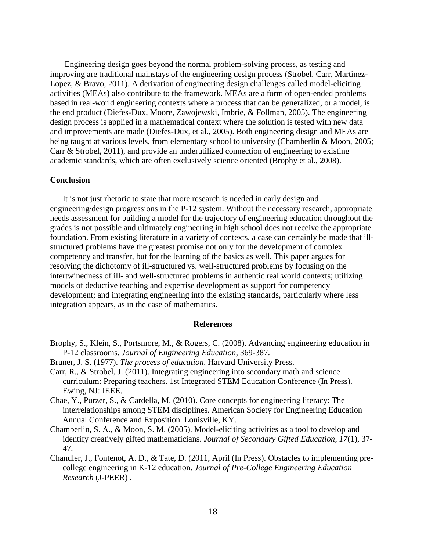Engineering design goes beyond the normal problem-solving process, as testing and improving are traditional mainstays of the engineering design process (Strobel, Carr, Martinez-Lopez, & Bravo, 2011). A derivation of engineering design challenges called model-eliciting activities (MEAs) also contribute to the framework. MEAs are a form of open-ended problems based in real-world engineering contexts where a process that can be generalized, or a model, is the end product (Diefes-Dux, Moore, Zawojewski, Imbrie, & Follman, 2005). The engineering design process is applied in a mathematical context where the solution is tested with new data and improvements are made (Diefes-Dux, et al., 2005). Both engineering design and MEAs are being taught at various levels, from elementary school to university (Chamberlin & Moon, 2005; Carr & Strobel, 2011), and provide an underutilized connection of engineering to existing academic standards, which are often exclusively science oriented (Brophy et al., 2008).

## **Conclusion**

It is not just rhetoric to state that more research is needed in early design and engineering/design progressions in the P-12 system. Without the necessary research, appropriate needs assessment for building a model for the trajectory of engineering education throughout the grades is not possible and ultimately engineering in high school does not receive the appropriate foundation. From existing literature in a variety of contexts, a case can certainly be made that illstructured problems have the greatest promise not only for the development of complex competency and transfer, but for the learning of the basics as well. This paper argues for resolving the dichotomy of ill-structured vs. well-structured problems by focusing on the intertwinedness of ill- and well-structured problems in authentic real world contexts; utilizing models of deductive teaching and expertise development as support for competency development; and integrating engineering into the existing standards, particularly where less integration appears, as in the case of mathematics.

#### **References**

- Brophy, S., Klein, S., Portsmore, M., & Rogers, C. (2008). Advancing engineering education in P-12 classrooms. *Journal of Engineering Education*, 369-387.
- Bruner, J. S. (1977). *The process of education*. Harvard University Press.
- Carr, R., & Strobel, J. (2011). Integrating engineering into secondary math and science curriculum: Preparing teachers. 1st Integrated STEM Education Conference (In Press). Ewing, NJ: IEEE.
- Chae, Y., Purzer, S., & Cardella, M. (2010). Core concepts for engineering literacy: The interrelationships among STEM disciplines. American Society for Engineering Education Annual Conference and Exposition. Louisville, KY.
- Chamberlin, S. A., & Moon, S. M. (2005). Model-eliciting activities as a tool to develop and identify creatively gifted mathematicians. *Journal of Secondary Gifted Education, 17*(1), 37- 47.
- Chandler, J., Fontenot, A. D., & Tate, D. (2011, April (In Press). Obstacles to implementing precollege engineering in K-12 education. *Journal of Pre-College Engineering Education Research* (J-PEER) .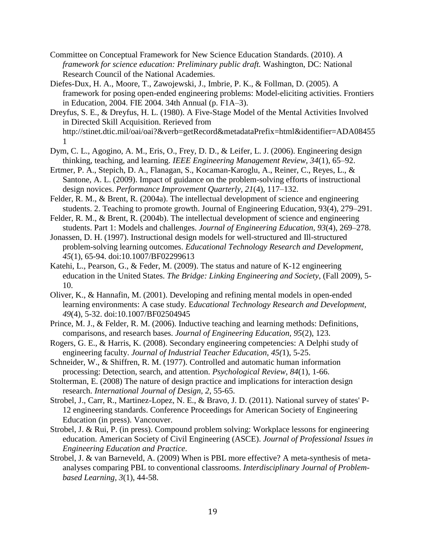- Committee on Conceptual Framework for New Science Education Standards. (2010). *A framework for science education: Preliminary public draft.* Washington, DC: National Research Council of the National Academies.
- Diefes-Dux, H. A., Moore, T., Zawojewski, J., Imbrie, P. K., & Follman, D. (2005). A framework for posing open-ended engineering problems: Model-eliciting activities. Frontiers in Education, 2004. FIE 2004. 34th Annual (p. F1A–3).
- Dreyfus, S. E., & Dreyfus, H. L. (1980). A Five-Stage Model of the Mental Activities Involved in Directed Skill Acquisition. Rerieved from http://stinet.dtic.mil/oai/oai?&verb=getRecord&metadataPrefix=html&identifier=ADA08455 1
- Dym, C. L., Agogino, A. M., Eris, O., Frey, D. D., & Leifer, L. J. (2006). Engineering design thinking, teaching, and learning. *IEEE Engineering Management Review, 34*(1), 65–92.
- Ertmer, P. A., Stepich, D. A., Flanagan, S., Kocaman-Karoglu, A., Reiner, C., Reyes, L., & Santone, A. L. (2009). Impact of guidance on the problem-solving efforts of instructional design novices. *Performance Improvement Quarterly, 21*(4), 117–132.
- Felder, R. M., & Brent, R. (2004a). The intellectual development of science and engineering students. 2. Teaching to promote growth. Journal of Engineering Education, 93(4), 279–291.
- Felder, R. M., & Brent, R. (2004b). The intellectual development of science and engineering students. Part 1: Models and challenges. *Journal of Engineering Education, 93*(4), 269–278.
- Jonassen, D. H. (1997). Instructional design models for well-structured and Ill-structured problem-solving learning outcomes. *Educational Technology Research and Development, 45*(1), 65-94. doi:10.1007/BF02299613
- Katehi, L., Pearson, G., & Feder, M. (2009). The status and nature of K-12 engineering education in the United States. *The Bridge: Linking Engineering and Society*, (Fall 2009), 5- 10.
- Oliver, K., & Hannafin, M. (2001). Developing and refining mental models in open-ended learning environments: A case study. E*ducational Technology Research and Development, 49*(4), 5-32. doi:10.1007/BF02504945
- Prince, M. J., & Felder, R. M. (2006). Inductive teaching and learning methods: Definitions, comparisons, and research bases. *Journal of Engineering Education, 95*(2), 123.
- Rogers, G. E., & Harris, K. (2008). Secondary engineering competencies: A Delphi study of engineering faculty. *Journal of Industrial Teacher Education, 45(*1), 5-25.
- Schneider, W., & Shiffren, R. M. (1977). Controlled and automatic human information processing: Detection, search, and attention. *Psychological Review, 84*(1), 1-66.
- Stolterman, E. (2008) The nature of design practice and implications for interaction design research. *International Journal of Design, 2*, 55-65.
- Strobel, J., Carr, R., Martinez-Lopez, N. E., & Bravo, J. D. (2011). National survey of states' P-12 engineering standards. Conference Proceedings for American Society of Engineering Education (in press). Vancouver.
- Strobel, J. & Rui, P. (in press). Compound problem solving: Workplace lessons for engineering education. American Society of Civil Engineering (ASCE). *Journal of Professional Issues in Engineering Education and Practice*.
- Strobel, J. & van Barneveld, A. (2009) When is PBL more effective? A meta-synthesis of metaanalyses comparing PBL to conventional classrooms. *Interdisciplinary Journal of Problembased Learning, 3*(1), 44-58.